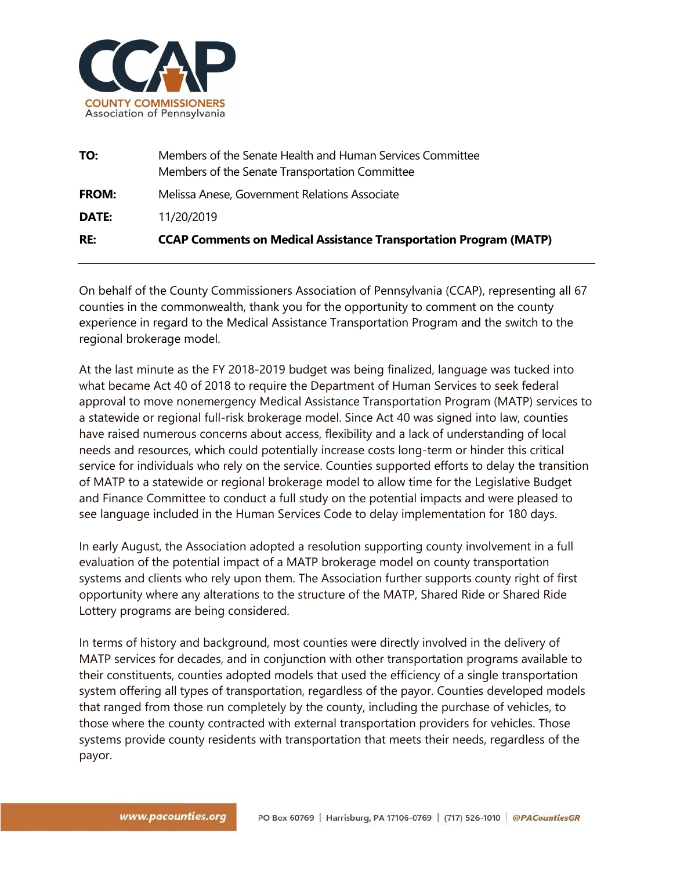

| RE:          | <b>CCAP Comments on Medical Assistance Transportation Program (MATP)</b>                                    |
|--------------|-------------------------------------------------------------------------------------------------------------|
| <b>DATE:</b> | 11/20/2019                                                                                                  |
| <b>FROM:</b> | Melissa Anese, Government Relations Associate                                                               |
| TO:          | Members of the Senate Health and Human Services Committee<br>Members of the Senate Transportation Committee |

On behalf of the County Commissioners Association of Pennsylvania (CCAP), representing all 67 counties in the commonwealth, thank you for the opportunity to comment on the county experience in regard to the Medical Assistance Transportation Program and the switch to the regional brokerage model.

At the last minute as the FY 2018-2019 budget was being finalized, language was tucked into what became Act 40 of 2018 to require the Department of Human Services to seek federal approval to move nonemergency Medical Assistance Transportation Program (MATP) services to a statewide or regional full-risk brokerage model. Since Act 40 was signed into law, counties have raised numerous concerns about access, flexibility and a lack of understanding of local needs and resources, which could potentially increase costs long-term or hinder this critical service for individuals who rely on the service. Counties supported efforts to delay the transition of MATP to a statewide or regional brokerage model to allow time for the Legislative Budget and Finance Committee to conduct a full study on the potential impacts and were pleased to see language included in the Human Services Code to delay implementation for 180 days.

In early August, the Association adopted a resolution supporting county involvement in a full evaluation of the potential impact of a MATP brokerage model on county transportation systems and clients who rely upon them. The Association further supports county right of first opportunity where any alterations to the structure of the MATP, Shared Ride or Shared Ride Lottery programs are being considered.

In terms of history and background, most counties were directly involved in the delivery of MATP services for decades, and in conjunction with other transportation programs available to their constituents, counties adopted models that used the efficiency of a single transportation system offering all types of transportation, regardless of the payor. Counties developed models that ranged from those run completely by the county, including the purchase of vehicles, to those where the county contracted with external transportation providers for vehicles. Those systems provide county residents with transportation that meets their needs, regardless of the payor.